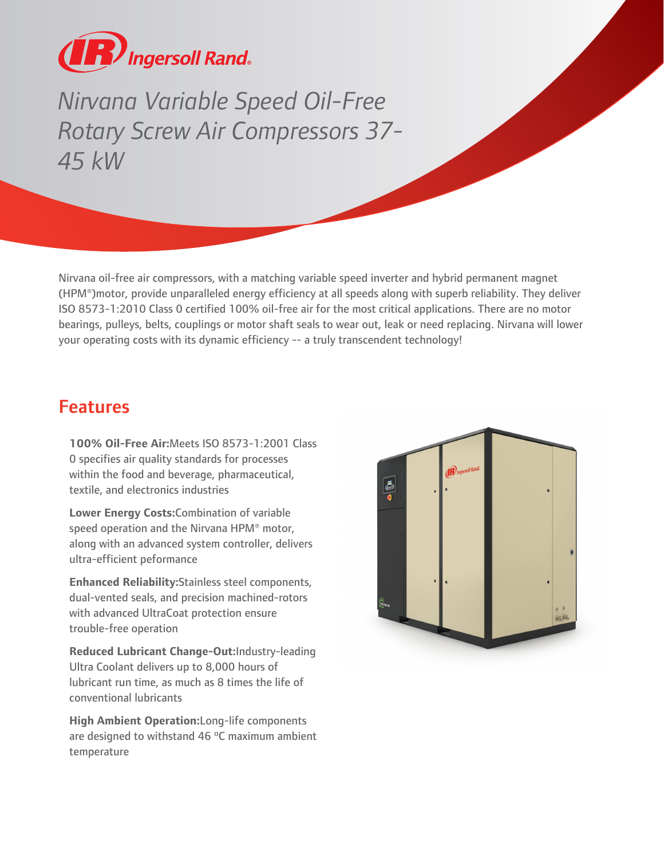

Nirvanna Variable Speed Oil-Free<br>
Rotary Screw Air Compressors 37<br>
45 kW<br>
Winana oil-free air compressors, with a matching variable speed inversed<br>
HPM\*) motor, provide unparalleled energy efficiency at all speeds als<br>
190 *Rotary Screw Air Compressors 37- 45 kW*

Nirvana oil-free air compressors, with a matching variable speed inverter and hybrid permanent magnet (HPM®)motor, provide unparalleled energy efficiency at all speeds along with superb reliability. They deliver ISO 8573-1:2010 Class 0 certified 100% oil-free air for the most critical applications. There are no motor bearings, pulleys, belts, couplings or motor shaft seals to wear out, leak or need replacing. Nirvana will lower your operating costs with its dynamic efficiency -- a truly transcendent technology!

## Features

**100% Oil-Free Air:**Meets ISO 8573-1:2001 Class 0 specifies air quality standards for processes within the food and beverage, pharmaceutical, textile, and electronics industries

**Lower Energy Costs:**Combination of variable speed operation and the Nirvana HPM® motor, along with an advanced system controller, delivers ultra-efficient peformance

**Enhanced Reliability:**Stainless steel components, dual-vented seals, and precision machined-rotors with advanced UltraCoat protection ensure trouble-free operation

**Reduced Lubricant Change-Out:**Industry-leading Ultra Coolant delivers up to 8,000 hours of lubricant run time, as much as 8 times the life of conventional lubricants

**High Ambient Operation:**Long-life components are designed to withstand 46 ºC maximum ambient